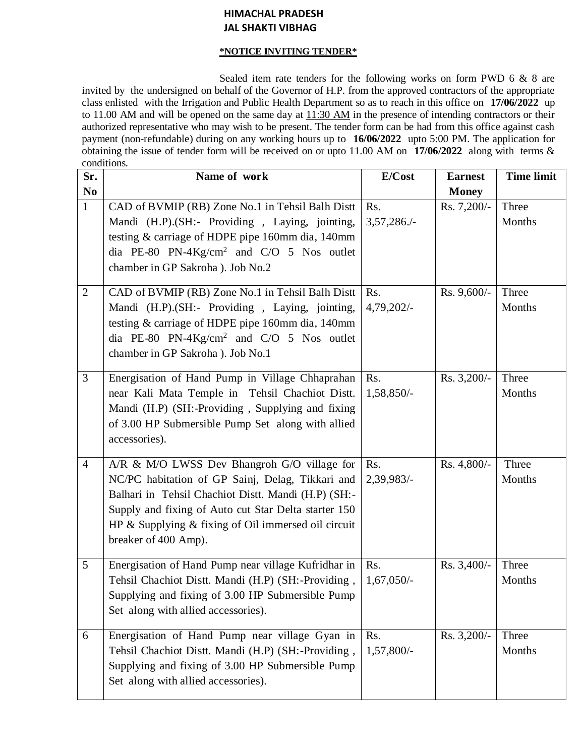# **HIMACHAL PRADESH JAL SHAKTI VIBHAG**

### **\*NOTICE INVITING TENDER\***

Sealed item rate tenders for the following works on form PWD 6 & 8 are invited by the undersigned on behalf of the Governor of H.P. from the approved contractors of the appropriate class enlisted with the Irrigation and Public Health Department so as to reach in this office on **17/06/2022** up to 11.00 AM and will be opened on the same day at  $11:30$  AM in the presence of intending contractors or their authorized representative who may wish to be present. The tender form can be had from this office against cash payment (non-refundable) during on any working hours up to **16/06/2022** upto 5:00 PM. The application for obtaining the issue of tender form will be received on or upto 11.00 AM on **17/06/2022** along with terms & conditions.

| Sr.            | Name of work                                                                                                                                                                                                                                                                                        | E/Cost                | <b>Earnest</b> | <b>Time limit</b> |
|----------------|-----------------------------------------------------------------------------------------------------------------------------------------------------------------------------------------------------------------------------------------------------------------------------------------------------|-----------------------|----------------|-------------------|
| N <sub>0</sub> |                                                                                                                                                                                                                                                                                                     |                       | <b>Money</b>   |                   |
| $\mathbf{1}$   | CAD of BVMIP (RB) Zone No.1 in Tehsil Balh Distt<br>Mandi (H.P).(SH:- Providing, Laying, jointing,<br>testing & carriage of HDPE pipe 160mm dia, 140mm<br>dia PE-80 PN-4Kg/cm <sup>2</sup> and C/O 5 Nos outlet<br>chamber in GP Sakroha ). Job No.2                                                | Rs.<br>$3,57,286.$ /- | Rs. 7,200/-    | Three<br>Months   |
| $\overline{2}$ | CAD of BVMIP (RB) Zone No.1 in Tehsil Balh Distt<br>Mandi (H.P).(SH:- Providing, Laying, jointing,<br>testing & carriage of HDPE pipe 160mm dia, 140mm<br>dia PE-80 PN-4Kg/cm <sup>2</sup> and C/O 5 Nos outlet<br>chamber in GP Sakroha ). Job No.1                                                | Rs.<br>4,79,202/-     | Rs. 9,600/-    | Three<br>Months   |
| $\overline{3}$ | Energisation of Hand Pump in Village Chhaprahan<br>near Kali Mata Temple in Tehsil Chachiot Distt.<br>Mandi (H.P) (SH:-Providing, Supplying and fixing<br>of 3.00 HP Submersible Pump Set along with allied<br>accessories).                                                                        | Rs.<br>1,58,850/-     | Rs. 3,200/-    | Three<br>Months   |
| $\overline{4}$ | A/R & M/O LWSS Dev Bhangroh G/O village for<br>NC/PC habitation of GP Sainj, Delag, Tikkari and<br>Balhari in Tehsil Chachiot Distt. Mandi (H.P) (SH:-<br>Supply and fixing of Auto cut Star Delta starter 150<br>HP $\&$ Supplying $\&$ fixing of Oil immersed oil circuit<br>breaker of 400 Amp). | Rs.<br>2,39,983/-     | Rs. 4,800/-    | Three<br>Months   |
| 5              | Energisation of Hand Pump near village Kufridhar in<br>Tehsil Chachiot Distt. Mandi (H.P) (SH:-Providing,<br>Supplying and fixing of 3.00 HP Submersible Pump<br>Set along with allied accessories).                                                                                                | Rs.<br>$1,67,050/-$   | Rs. 3,400/-    | Three<br>Months   |
| 6              | Energisation of Hand Pump near village Gyan in<br>Tehsil Chachiot Distt. Mandi (H.P) (SH:-Providing,<br>Supplying and fixing of 3.00 HP Submersible Pump<br>Set along with allied accessories).                                                                                                     | Rs.<br>1,57,800/-     | Rs. 3,200/-    | Three<br>Months   |